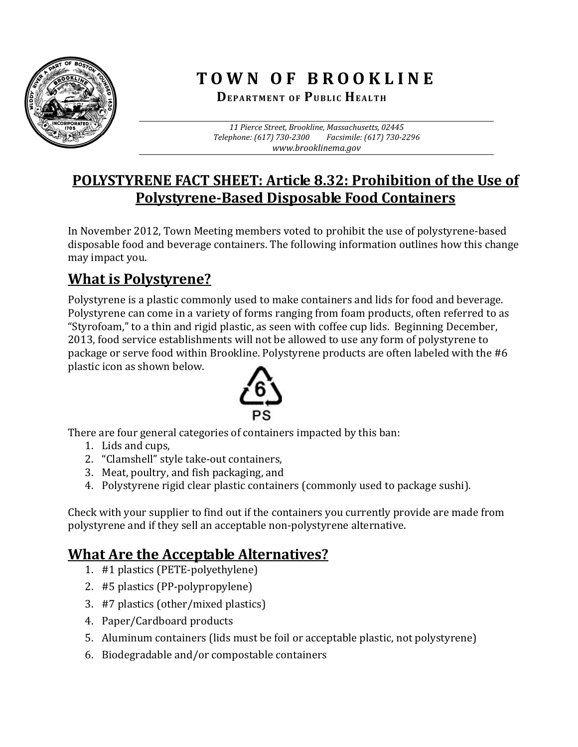

# **TOWN O F BROOKLINE**

 **DEPARTMENT O F PUBLIC HEALTH**

*11 Pierce Street, Brookline, Massachusetts, 02445 Telephone: (617) 730‐2300 Facsimile: (617) 730‐2296 www.brooklinema.gov*

### **POLYSTYRENE FACT SHEET: Article 8.32: Prohibition of the Use of Polystyrene‐Based Disposable Food Containers**

In November 2012, Town Meeting members voted to prohibit the use of polystyrene-based disposable food and beverage containers. The following information outlines how this change may impact you.

## **What is Polystyrene?**

Polystyrene is a plastic commonly used to make containers and lids for food and beverage. Polystyrene can come in a variety of forms ranging from foam products, often referred to as "Styrofoam," to a thin and rigid plastic, as seen with coffee cup lids. Beginning December, 2013, food service establishments will not be allowed to use any form of polystyrene to package or serve food within Brookline. Polystyrene products are often labeled with the #6 plastic icon as shown below.



There are four general categories of containers impacted by this ban:

- 1. Lids and cups,
- 2. "Clamshell" style take-out containers,
- 3. Meat, poultry, and fish packaging, and
- 4. Polystyrene rigid clear plastic containers (commonly used to package sushi).

Check with your supplier to find out if the containers you currently provide are made from polystyrene and if they sell an acceptable non-polystyrene alternative.

### **What Are the Acceptable Alternatives?**

- 1. #1 plastics (PETE-polyethylene)
- 2. #5 plastics (PP-polypropylene)
- 3. #7 plastics (other/mixed plastics)
- 4. Paper/Cardboard products
- 5. Aluminum containers (lids must be foil or acceptable plastic, not polystyrene)
- 6. Biodegradable and/or compostable containers